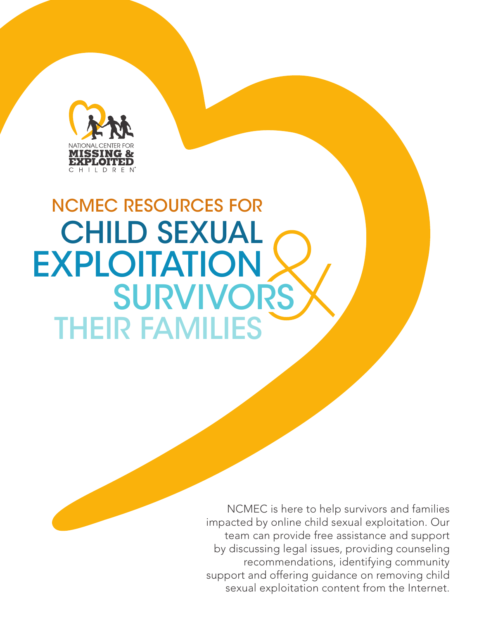

# THEIR FAMILIES **SURVIVORS** EXPLOITATION CHILD SEXUAL NCMEC RESOURCES FOR

NCMEC is here to help survivors and families impacted by online child sexual exploitation. Our team can provide free assistance and support by discussing legal issues, providing counseling recommendations, identifying community support and offering guidance on removing child sexual exploitation content from the Internet.